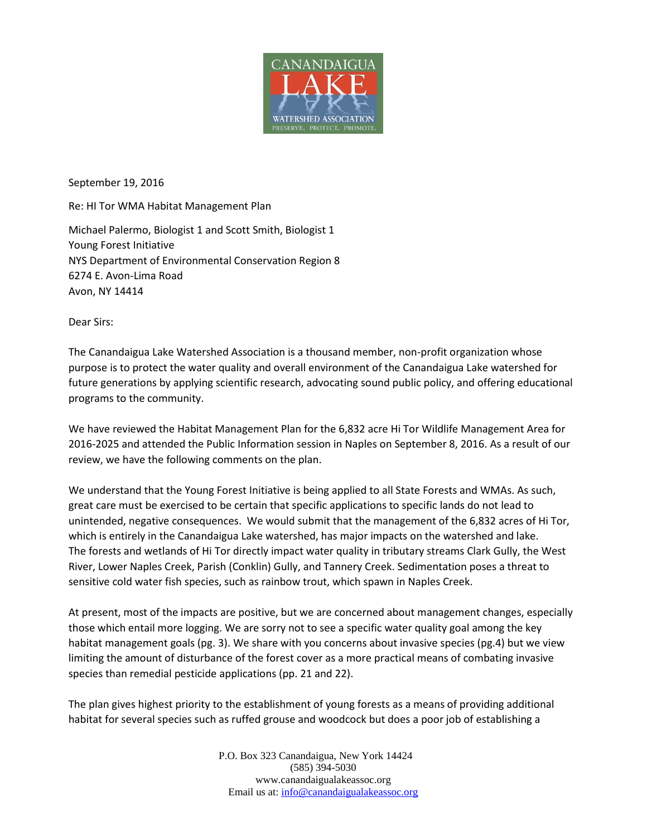

September 19, 2016

Re: HI Tor WMA Habitat Management Plan

Michael Palermo, Biologist 1 and Scott Smith, Biologist 1 Young Forest Initiative NYS Department of Environmental Conservation Region 8 6274 E. Avon-Lima Road Avon, NY 14414

Dear Sirs:

The Canandaigua Lake Watershed Association is a thousand member, non-profit organization whose purpose is to protect the water quality and overall environment of the Canandaigua Lake watershed for future generations by applying scientific research, advocating sound public policy, and offering educational programs to the community.

We have reviewed the Habitat Management Plan for the 6,832 acre Hi Tor Wildlife Management Area for 2016-2025 and attended the Public Information session in Naples on September 8, 2016. As a result of our review, we have the following comments on the plan.

We understand that the Young Forest Initiative is being applied to all State Forests and WMAs. As such, great care must be exercised to be certain that specific applications to specific lands do not lead to unintended, negative consequences. We would submit that the management of the 6,832 acres of Hi Tor, which is entirely in the Canandaigua Lake watershed, has major impacts on the watershed and lake. The forests and wetlands of Hi Tor directly impact water quality in tributary streams Clark Gully, the West River, Lower Naples Creek, Parish (Conklin) Gully, and Tannery Creek. Sedimentation poses a threat to sensitive cold water fish species, such as rainbow trout, which spawn in Naples Creek.

At present, most of the impacts are positive, but we are concerned about management changes, especially those which entail more logging. We are sorry not to see a specific water quality goal among the key habitat management goals (pg. 3). We share with you concerns about invasive species (pg.4) but we view limiting the amount of disturbance of the forest cover as a more practical means of combating invasive species than remedial pesticide applications (pp. 21 and 22).

The plan gives highest priority to the establishment of young forests as a means of providing additional habitat for several species such as ruffed grouse and woodcock but does a poor job of establishing a

> P.O. Box 323 Canandaigua, New York 14424 (585) 394-5030 www.canandaigualakeassoc.org Email us at: [info@canandaigualakeassoc.org](mailto:info@canandaigualakeassoc.org)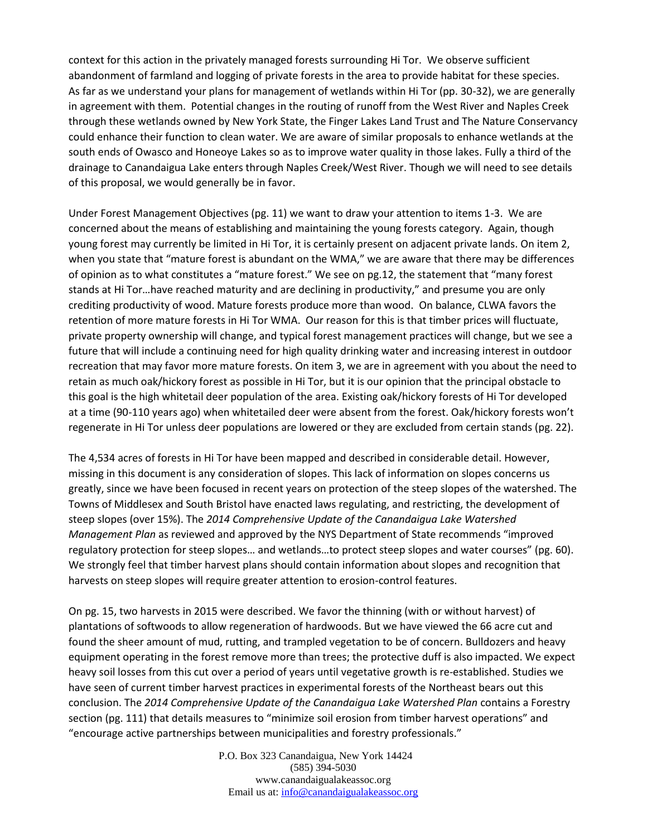context for this action in the privately managed forests surrounding Hi Tor. We observe sufficient abandonment of farmland and logging of private forests in the area to provide habitat for these species. As far as we understand your plans for management of wetlands within Hi Tor (pp. 30-32), we are generally in agreement with them. Potential changes in the routing of runoff from the West River and Naples Creek through these wetlands owned by New York State, the Finger Lakes Land Trust and The Nature Conservancy could enhance their function to clean water. We are aware of similar proposals to enhance wetlands at the south ends of Owasco and Honeoye Lakes so as to improve water quality in those lakes. Fully a third of the drainage to Canandaigua Lake enters through Naples Creek/West River. Though we will need to see details of this proposal, we would generally be in favor.

Under Forest Management Objectives (pg. 11) we want to draw your attention to items 1-3. We are concerned about the means of establishing and maintaining the young forests category. Again, though young forest may currently be limited in Hi Tor, it is certainly present on adjacent private lands. On item 2, when you state that "mature forest is abundant on the WMA," we are aware that there may be differences of opinion as to what constitutes a "mature forest." We see on pg.12, the statement that "many forest stands at Hi Tor…have reached maturity and are declining in productivity," and presume you are only crediting productivity of wood. Mature forests produce more than wood. On balance, CLWA favors the retention of more mature forests in Hi Tor WMA. Our reason for this is that timber prices will fluctuate, private property ownership will change, and typical forest management practices will change, but we see a future that will include a continuing need for high quality drinking water and increasing interest in outdoor recreation that may favor more mature forests. On item 3, we are in agreement with you about the need to retain as much oak/hickory forest as possible in Hi Tor, but it is our opinion that the principal obstacle to this goal is the high whitetail deer population of the area. Existing oak/hickory forests of Hi Tor developed at a time (90-110 years ago) when whitetailed deer were absent from the forest. Oak/hickory forests won't regenerate in Hi Tor unless deer populations are lowered or they are excluded from certain stands (pg. 22).

The 4,534 acres of forests in Hi Tor have been mapped and described in considerable detail. However, missing in this document is any consideration of slopes. This lack of information on slopes concerns us greatly, since we have been focused in recent years on protection of the steep slopes of the watershed. The Towns of Middlesex and South Bristol have enacted laws regulating, and restricting, the development of steep slopes (over 15%). The *2014 Comprehensive Update of the Canandaigua Lake Watershed Management Plan* as reviewed and approved by the NYS Department of State recommends "improved regulatory protection for steep slopes… and wetlands…to protect steep slopes and water courses" (pg. 60). We strongly feel that timber harvest plans should contain information about slopes and recognition that harvests on steep slopes will require greater attention to erosion-control features.

On pg. 15, two harvests in 2015 were described. We favor the thinning (with or without harvest) of plantations of softwoods to allow regeneration of hardwoods. But we have viewed the 66 acre cut and found the sheer amount of mud, rutting, and trampled vegetation to be of concern. Bulldozers and heavy equipment operating in the forest remove more than trees; the protective duff is also impacted. We expect heavy soil losses from this cut over a period of years until vegetative growth is re-established. Studies we have seen of current timber harvest practices in experimental forests of the Northeast bears out this conclusion. The *2014 Comprehensive Update of the Canandaigua Lake Watershed Plan* contains a Forestry section (pg. 111) that details measures to "minimize soil erosion from timber harvest operations" and "encourage active partnerships between municipalities and forestry professionals."

> P.O. Box 323 Canandaigua, New York 14424 (585) 394-5030 www.canandaigualakeassoc.org Email us at: [info@canandaigualakeassoc.org](mailto:info@canandaigualakeassoc.org)